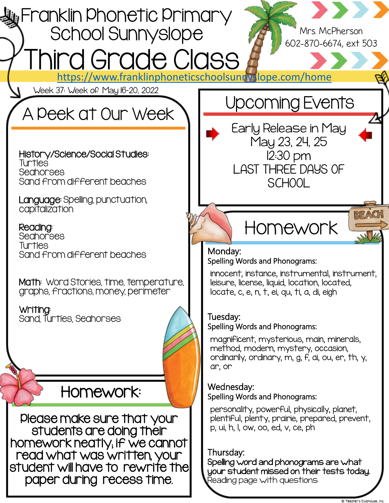